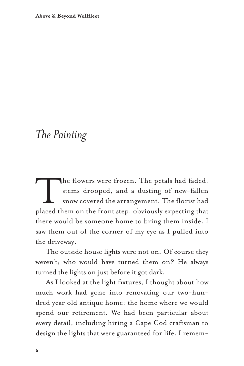**Above & Beyond Wellfleet** 

## *The Painting*

The flowers were frozen. The petals had faded, stems drooped, and a dusting of new-fallen snow covered the arrangement. The florist had placed them on the front step, obviously expecting that there would be someone home to bring them inside. I saw them out of the corner of my eye as I pulled into the driveway.

The outside house lights were not on. Of course they weren't; who would have turned them on? He always turned the lights on just before it got dark.

As I looked at the light fixtures, I thought about how much work had gone into renovating our two-hundred year old antique home: the home where we would spend our retirement. We had been particular about every detail, including hiring a Cape Cod craftsman to design the lights that were guaranteed for life. I remem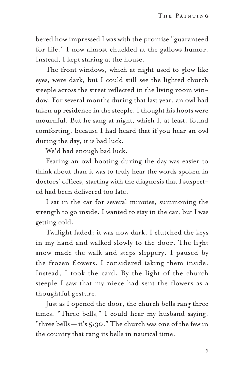bered how impressed I was with the promise "guaranteed for life." I now almost chuckled at the gallows humor. Instead, I kept staring at the house.

The front windows, which at night used to glow like eyes, were dark, but I could still see the lighted church steeple across the street reflected in the living room window. For several months during that last year, an owl had taken up residence in the steeple. I thought his hoots were mournful. But he sang at night, which I, at least, found comforting, because I had heard that if you hear an owl during the day, it is bad luck.

We'd had enough bad luck.

Fearing an owl hooting during the day was easier to think about than it was to truly hear the words spoken in doctors' offices, starting with the diagnosis that I suspected had been delivered too late.

I sat in the car for several minutes, summoning the strength to go inside. I wanted to stay in the car, but I was getting cold.

Twilight faded; it was now dark. I clutched the keys in my hand and walked slowly to the door. The light snow made the walk and steps slippery. I paused by the frozen flowers. I considered taking them inside. Instead, I took the card. By the light of the church steeple I saw that my niece had sent the flowers as a thoughtful gesture.

Just as I opened the door, the church bells rang three times. "Three bells," I could hear my husband saying, "three bells  $-$  it's 5:30." The church was one of the few in the country that rang its bells in nautical time.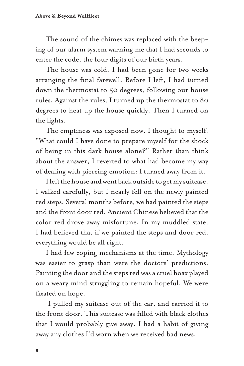The sound of the chimes was replaced with the beeping of our alarm system warning me that I had seconds to enter the code, the four digits of our birth years.

The house was cold. I had been gone for two weeks arranging the final farewell. Before I left, I had turned down the thermostat to 50 degrees, following our house rules. Against the rules, I turned up the thermostat to 80 degrees to heat up the house quickly. Then I turned on the lights.

The emptiness was exposed now. I thought to myself, "What could I have done to prepare myself for the shock of being in this dark house alone?" Rather than think about the answer, I reverted to what had become my way of dealing with piercing emotion: I turned away from it.

I left the house and went back outside to get my suitcase. I walked carefully, but I nearly fell on the newly painted red steps. Several months before, we had painted the steps and the front door red. Ancient Chinese believed that the color red drove away misfortune. In my muddled state, I had believed that if we painted the steps and door red, everything would be all right.

I had few coping mechanisms at the time. Mythology was easier to grasp than were the doctors' predictions. Painting the door and the steps red was a cruel hoax played on a weary mind struggling to remain hopeful. We were fixated on hope.

I pulled my suitcase out of the car, and carried it to the front door. This suitcase was filled with black clothes that I would probably give away. I had a habit of giving away any clothes I'd worn when we received bad news.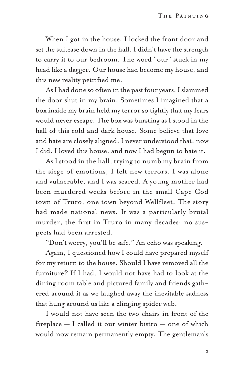When I got in the house, I locked the front door and set the suitcase down in the hall. I didn't have the strength to carry it to our bedroom. The word "our" stuck in my head like a dagger. Our house had become my house, and this new reality petrified me.

As I had done so often in the past four years, I slammed the door shut in my brain. Sometimes I imagined that a box inside my brain held my terror so tightly that my fears would never escape. The box was bursting as I stood in the hall of this cold and dark house. Some believe that love and hate are closely aligned. I never understood that; now I did. I loved this house, and now I had begun to hate it.

As I stood in the hall, trying to numb my brain from the siege of emotions, I felt new terrors. I was alone and vulnerable, and I was scared. A young mother had been murdered weeks before in the small Cape Cod town of Truro, one town beyond Wellfleet. The story had made national news. It was a particularly brutal murder, the first in Truro in many decades; no suspects had been arrested.

"Don't worry, you'll be safe." An echo was speaking.

Again, I questioned how I could have prepared myself for my return to the house. Should I have removed all the furniture? If I had, I would not have had to look at the dining room table and pictured family and friends gathered around it as we laughed away the inevitable sadness that hung around us like a clinging spider web.

I would not have seen the two chairs in front of the fireplace — I called it our winter bistro — one of which would now remain permanently empty. The gentleman's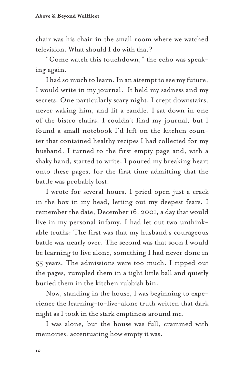chair was his chair in the small room where we watched television. What should I do with that?

"Come watch this touchdown," the echo was speaking again.

I had so much to learn. In an attempt to see my future, I would write in my journal. It held my sadness and my secrets. One particularly scary night, I crept downstairs, never waking him, and lit a candle. I sat down in one of the bistro chairs. I couldn't find my journal, but I found a small notebook I'd left on the kitchen counter that contained healthy recipes I had collected for my husband. I turned to the first empty page and, with a shaky hand, started to write. I poured my breaking heart onto these pages, for the first time admitting that the battle was probably lost.

I wrote for several hours. I pried open just a crack in the box in my head, letting out my deepest fears. I remember the date, December 16, 2001, a day that would live in my personal infamy. I had let out two unthinkable truths: The first was that my husband's courageous battle was nearly over. The second was that soon I would be learning to live alone, something I had never done in 55 years. The admissions were too much. I ripped out the pages, rumpled them in a tight little ball and quietly buried them in the kitchen rubbish bin.

Now, standing in the house, I was beginning to experience the learning-to-live-alone truth written that dark night as I took in the stark emptiness around me.

I was alone, but the house was full, crammed with memories, accentuating how empty it was.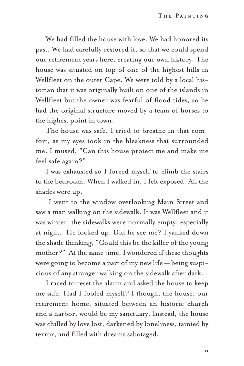We had filled the house with love. We had honored its past. We had carefully restored it, so that we could spend our retirement years here, creating our own history. The house was situated on top of one of the highest hills in Wellfleet on the outer Cape. We were told by a local historian that it was originally built on one of the islands in Wellfleet but the owner was fearful of flood tides, so he had the original structure moved by a team of horses to the highest point in town.

The house was safe. I tried to breathe in that comfort, as my eyes took in the bleakness that surrounded me. I mused, "Can this house protect me and make me feel safe again?"

I was exhausted so I forced myself to climb the stairs to the bedroom. When I walked in, I felt exposed. All the shades were up.

I went to the window overlooking Main Street and saw a man walking on the sidewalk. It was Wellfleet and it was winter; the sidewalks were normally empty, especially at night. He looked up. Did he see me? I yanked down the shade thinking, "Could this be the killer of the young mother?" At the same time, I wondered if these thoughts were going to become a part of my new life — being suspicious of any stranger walking on the sidewalk after dark.

I raced to reset the alarm and asked the house to keep me safe. Had I fooled myself? I thought the house, our retirement home, situated between an historic church and a harbor, would be my sanctuary. Instead, the house was chilled by love lost, darkened by loneliness, tainted by terror, and filled with dreams sabotaged.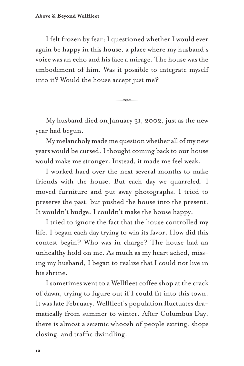I felt frozen by fear; I questioned whether I would ever again be happy in this house, a place where my husband's voice was an echo and his face a mirage. The house was the embodiment of him. Was it possible to integrate myself into it? Would the house accept just me?

My husband died on January 31, 2002, just as the new year had begun.

 $\overline{\phantom{a}}$ 

My melancholy made me question whether all of my new years would be cursed. I thought coming back to our house would make me stronger. Instead, it made me feel weak.

I worked hard over the next several months to make friends with the house. But each day we quarreled. I moved furniture and put away photographs. I tried to preserve the past, but pushed the house into the present. It wouldn't budge. I couldn't make the house happy.

I tried to ignore the fact that the house controlled my life. I began each day trying to win its favor. How did this contest begin? Who was in charge? The house had an unhealthy hold on me. As much as my heart ached, missing my husband, I began to realize that I could not live in his shrine.

I sometimes went to a Wellfleet coffee shop at the crack of dawn, trying to figure out if I could fit into this town. It was late February. Wellfleet's population fluctuates dramatically from summer to winter. After Columbus Day, there is almost a seismic whoosh of people exiting, shops closing, and traffic dwindling.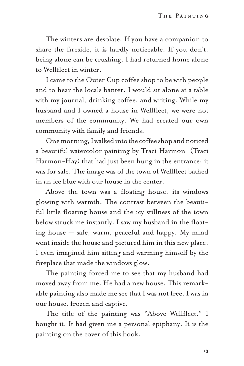The winters are desolate. If you have a companion to share the fireside, it is hardly noticeable. If you don't, being alone can be crushing. I had returned home alone to Wellfleet in winter.

I came to the Outer Cup coffee shop to be with people and to hear the locals banter. I would sit alone at a table with my journal, drinking coffee, and writing. While my husband and I owned a house in Wellfleet, we were not members of the community. We had created our own community with family and friends.

One morning, I walked into the coffee shop and noticed a beautiful watercolor painting by Traci Harmon (Traci Harmon-Hay) that had just been hung in the entrance; it was for sale. The image was of the town of Wellfleet bathed in an ice blue with our house in the center.

Above the town was a floating house, its windows glowing with warmth. The contrast between the beautiful little floating house and the icy stillness of the town below struck me instantly. I saw my husband in the floating house — safe, warm, peaceful and happy. My mind went inside the house and pictured him in this new place; I even imagined him sitting and warming himself by the fireplace that made the windows glow.

The painting forced me to see that my husband had moved away from me. He had a new house. This remarkable painting also made me see that I was not free. I was in our house, frozen and captive.

The title of the painting was "Above Wellfleet." I bought it. It had given me a personal epiphany. It is the painting on the cover of this book.